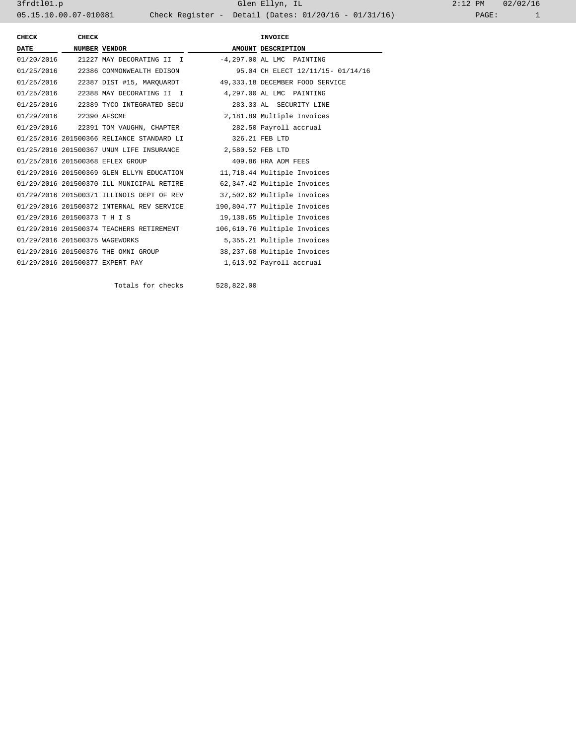3frdtl01.p Glen Ellyn, IL 2:12 PM 02/02/16 05.15.10.00.07-010081 Check Register - Detail (Dates: 01/20/16 - 01/31/16)

| CHECK                          | CHECK |                                                                       | <b>INVOICE</b>                                                       |
|--------------------------------|-------|-----------------------------------------------------------------------|----------------------------------------------------------------------|
| <b>DATE</b>                    |       | <b>NUMBER VENDOR</b>                                                  | AMOUNT DESCRIPTION                                                   |
|                                |       | $01/20/2016$ 21227 MAY DECORATING II I $-4,297.00$ AL LMC PAINTING    |                                                                      |
|                                |       | 01/25/2016 22386 COMMONWEALTH EDISON                                  | 95.04 CH ELECT 12/11/15- 01/14/16                                    |
|                                |       |                                                                       | 01/25/2016 22387 DIST #15, MAROUARDT 49,333.18 DECEMBER FOOD SERVICE |
|                                |       | 01/25/2016 22388 MAY DECORATING II I 4,297.00 AL LMC PAINTING         |                                                                      |
|                                |       | 01/25/2016 22389 TYCO INTEGRATED SECU                                 | 283.33 AL SECURITY LINE                                              |
| 01/29/2016 22390 AFSCME        |       |                                                                       | 2,181.89 Multiple Invoices                                           |
|                                |       | 01/29/2016 22391 TOM VAUGHN, CHAPTER                                  | 282.50 Payroll accrual                                               |
|                                |       | 01/25/2016 201500366 RELIANCE STANDARD LI                             | 326.21 FEB LTD                                                       |
|                                |       | 01/25/2016 201500367 UNUM LIFE INSURANCE 2,580.52 FEB LTD             |                                                                      |
|                                |       | 01/25/2016 201500368 EFLEX GROUP                                      | 409.86 HRA ADM FEES                                                  |
|                                |       | 01/29/2016 201500369 GLEN ELLYN EDUCATION                             | 11,718.44 Multiple Invoices                                          |
|                                |       | 01/29/2016 201500370 ILL MUNICIPAL RETIRE                             | 62,347.42 Multiple Invoices                                          |
|                                |       | 01/29/2016 201500371 ILLINOIS DEPT OF REV 37,502.62 Multiple Invoices |                                                                      |
|                                |       | 01/29/2016 201500372 INTERNAL REV SERVICE                             | 190,804.77 Multiple Invoices                                         |
| 01/29/2016 201500373 T H I S   |       |                                                                       | 19,138.65 Multiple Invoices                                          |
|                                |       | 01/29/2016 201500374 TEACHERS RETIREMENT                              | 106,610.76 Multiple Invoices                                         |
| 01/29/2016 201500375 WAGEWORKS |       |                                                                       | 5,355.21 Multiple Invoices                                           |
|                                |       | 01/29/2016 201500376 THE OMNI GROUP                                   | 38,237.68 Multiple Invoices                                          |
|                                |       | 01/29/2016 201500377 EXPERT PAY                                       | 1,613.92 Payroll accrual                                             |

Totals for checks 528,822.00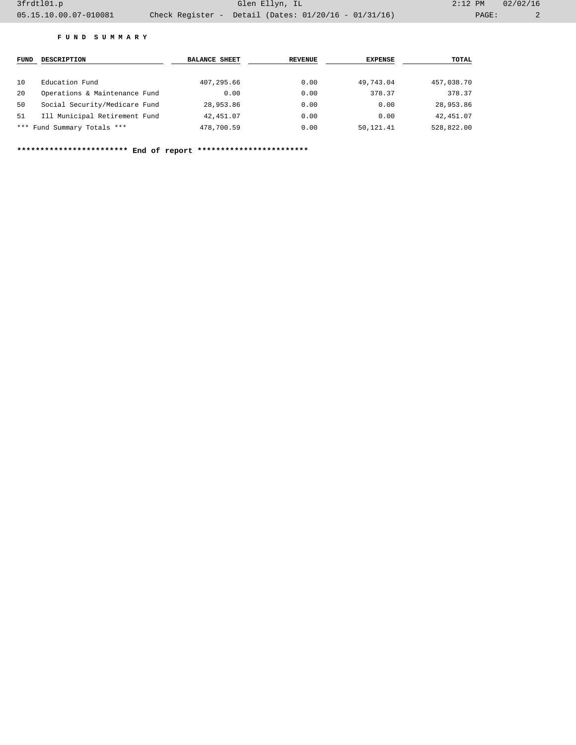## **F U N D S U M M A R Y**

| FUND | <b>DESCRIPTION</b>            | <b>BALANCE SHEET</b> | <b>REVENUE</b> | <b>EXPENSE</b> | TOTAL      |
|------|-------------------------------|----------------------|----------------|----------------|------------|
| 10   | Education Fund                | 407, 295, 66         | 0.00           | 49,743.04      | 457,038.70 |
| 20   | Operations & Maintenance Fund | 0.00                 | 0.00           | 378.37         | 378.37     |
| 50   | Social Security/Medicare Fund | 28,953.86            | 0.00           | 0.00           | 28,953.86  |
| 51   | Ill Municipal Retirement Fund | 42, 451.07           | 0.00           | 0.00           | 42,451.07  |
|      | *** Fund Summary Totals ***   | 478,700.59           | 0.00           | 50,121.41      | 528,822.00 |

**\*\*\*\*\*\*\*\*\*\*\*\*\*\*\*\*\*\*\*\*\*\*\*\* End of report \*\*\*\*\*\*\*\*\*\*\*\*\*\*\*\*\*\*\*\*\*\*\*\***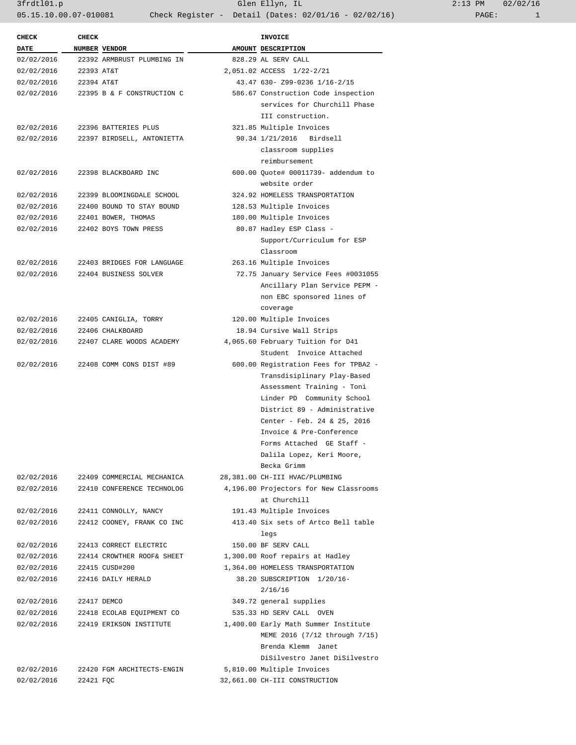3frdtl01.p Glen Ellyn, IL 2:13 PM 02/02/16 05.15.10.00.07-010081 Check Register - Detail (Dates: 02/01/16 - 02/02/16)

| <b>CHECK</b> | <b>CHECK</b> |                            | <b>INVOICE</b>                         |
|--------------|--------------|----------------------------|----------------------------------------|
| <b>DATE</b>  |              | NUMBER VENDOR              | AMOUNT DESCRIPTION                     |
| 02/02/2016   |              | 22392 ARMBRUST PLUMBING IN | 828.29 AL SERV CALL                    |
| 02/02/2016   | 22393 AT&T   |                            | 2,051.02 ACCESS 1/22-2/21              |
| 02/02/2016   | 22394 AT&T   |                            | 43.47 630- Z99-0236 1/16-2/15          |
| 02/02/2016   |              | 22395 B & F CONSTRUCTION C | 586.67 Construction Code inspection    |
|              |              |                            | services for Churchill Phase           |
|              |              |                            | III construction.                      |
| 02/02/2016   |              | 22396 BATTERIES PLUS       | 321.85 Multiple Invoices               |
| 02/02/2016   |              | 22397 BIRDSELL, ANTONIETTA | 90.34 1/21/2016 Birdsell               |
|              |              |                            | classroom supplies                     |
|              |              |                            | reimbursement                          |
|              |              |                            |                                        |
| 02/02/2016   |              | 22398 BLACKBOARD INC       | 600.00 Ouote# 00011739- addendum to    |
|              |              |                            | website order                          |
| 02/02/2016   |              | 22399 BLOOMINGDALE SCHOOL  | 324.92 HOMELESS TRANSPORTATION         |
| 02/02/2016   |              | 22400 BOUND TO STAY BOUND  | 128.53 Multiple Invoices               |
| 02/02/2016   |              | 22401 BOWER, THOMAS        | 180.00 Multiple Invoices               |
| 02/02/2016   |              | 22402 BOYS TOWN PRESS      | 80.87 Hadley ESP Class -               |
|              |              |                            | Support/Curriculum for ESP             |
|              |              |                            | Classroom                              |
| 02/02/2016   |              | 22403 BRIDGES FOR LANGUAGE | 263.16 Multiple Invoices               |
| 02/02/2016   |              | 22404 BUSINESS SOLVER      | 72.75 January Service Fees #0031055    |
|              |              |                            | Ancillary Plan Service PEPM -          |
|              |              |                            | non EBC sponsored lines of             |
|              |              |                            | coverage                               |
| 02/02/2016   |              | 22405 CANIGLIA, TORRY      | 120.00 Multiple Invoices               |
| 02/02/2016   |              | 22406 CHALKBOARD           | 18.94 Cursive Wall Strips              |
| 02/02/2016   |              | 22407 CLARE WOODS ACADEMY  | 4,065.60 February Tuition for D41      |
|              |              |                            | Student Invoice Attached               |
| 02/02/2016   |              | 22408 COMM CONS DIST #89   | 600.00 Registration Fees for TPBA2 -   |
|              |              |                            | Transdisiplinary Play-Based            |
|              |              |                            | Assessment Training - Toni             |
|              |              |                            | Linder PD Community School             |
|              |              |                            | District 89 - Administrative           |
|              |              |                            |                                        |
|              |              |                            | Center - Feb. 24 & 25, 2016            |
|              |              |                            | Invoice & Pre-Conference               |
|              |              |                            | Forms Attached GE Staff -              |
|              |              |                            | Dalila Lopez, Keri Moore,              |
|              |              |                            | Becka Grimm                            |
| 02/02/2016   |              | 22409 COMMERCIAL MECHANICA | 28,381.00 CH-III HVAC/PLUMBING         |
| 02/02/2016   |              | 22410 CONFERENCE TECHNOLOG | 4,196.00 Projectors for New Classrooms |
|              |              |                            | at Churchill                           |
| 02/02/2016   |              | 22411 CONNOLLY, NANCY      | 191.43 Multiple Invoices               |
| 02/02/2016   |              | 22412 COONEY, FRANK CO INC | 413.40 Six sets of Artco Bell table    |
|              |              |                            | legs                                   |
| 02/02/2016   |              | 22413 CORRECT ELECTRIC     | 150.00 BF SERV CALL                    |
| 02/02/2016   |              | 22414 CROWTHER ROOF& SHEET | 1,300.00 Roof repairs at Hadley        |
| 02/02/2016   |              | 22415 CUSD#200             | 1,364.00 HOMELESS TRANSPORTATION       |
| 02/02/2016   |              | 22416 DAILY HERALD         | 38.20 SUBSCRIPTION 1/20/16-            |
|              |              |                            | 2/16/16                                |
| 02/02/2016   |              | 22417 DEMCO                | 349.72 general supplies                |
| 02/02/2016   |              | 22418 ECOLAB EQUIPMENT CO  | 535.33 HD SERV CALL OVEN               |
| 02/02/2016   |              | 22419 ERIKSON INSTITUTE    | 1,400.00 Early Math Summer Institute   |
|              |              |                            | MEME 2016 (7/12 through 7/15)          |
|              |              |                            |                                        |
|              |              |                            | Brenda Klemm Janet                     |
|              |              |                            | DiSilvestro Janet DiSilvestro          |
| 02/02/2016   |              | 22420 FGM ARCHITECTS-ENGIN | 5,810.00 Multiple Invoices             |
| 02/02/2016   | 22421 FQC    |                            | 32,661.00 CH-III CONSTRUCTION          |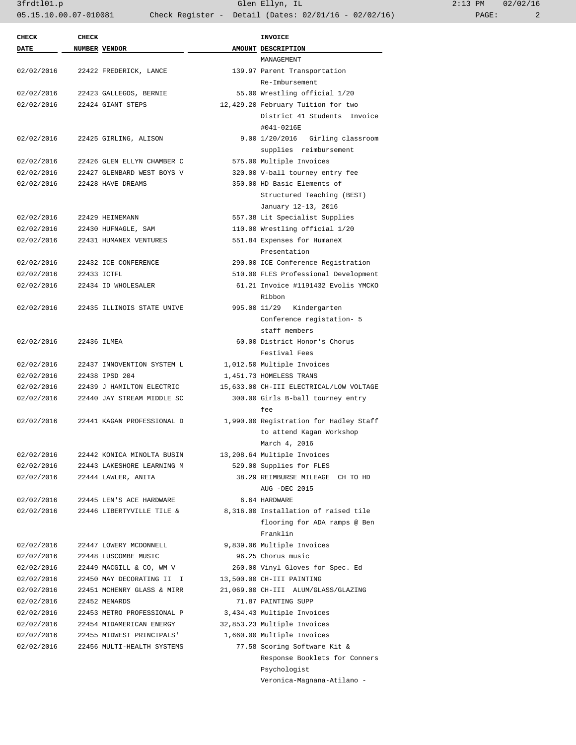3frdtl01.p Glen Ellyn, IL 2:13 PM 02/02/16 05.15.10.00.07-010081 Check Register - Detail (Dates: 02/01/16 - 02/02/16) PAGE: 2

| <b>CHECK</b> | <b>CHECK</b> |                            | <b>INVOICE</b>                          |
|--------------|--------------|----------------------------|-----------------------------------------|
| <b>DATE</b>  |              | NUMBER VENDOR              | AMOUNT DESCRIPTION<br>MANAGEMENT        |
| 02/02/2016   |              | 22422 FREDERICK, LANCE     | 139.97 Parent Transportation            |
|              |              |                            | Re-Imbursement                          |
| 02/02/2016   |              | 22423 GALLEGOS, BERNIE     | 55.00 Wrestling official 1/20           |
| 02/02/2016   |              | 22424 GIANT STEPS          | 12,429.20 February Tuition for two      |
|              |              |                            | District 41 Students Invoice            |
|              |              |                            | #041-0216E                              |
| 02/02/2016   |              | 22425 GIRLING, ALISON      | 9.00 1/20/2016 Girling classroom        |
|              |              |                            | supplies reimbursement                  |
| 02/02/2016   |              | 22426 GLEN ELLYN CHAMBER C | 575.00 Multiple Invoices                |
| 02/02/2016   |              | 22427 GLENBARD WEST BOYS V | 320.00 V-ball tourney entry fee         |
| 02/02/2016   |              | 22428 HAVE DREAMS          | 350.00 HD Basic Elements of             |
|              |              |                            | Structured Teaching (BEST)              |
|              |              |                            | January 12-13, 2016                     |
| 02/02/2016   |              | 22429 HEINEMANN            | 557.38 Lit Specialist Supplies          |
| 02/02/2016   |              | 22430 HUFNAGLE, SAM        | 110.00 Wrestling official 1/20          |
| 02/02/2016   |              | 22431 HUMANEX VENTURES     | 551.84 Expenses for HumaneX             |
|              |              |                            | Presentation                            |
| 02/02/2016   |              | 22432 ICE CONFERENCE       | 290.00 ICE Conference Registration      |
| 02/02/2016   |              | 22433 ICTFL                | 510.00 FLES Professional Development    |
| 02/02/2016   |              | 22434 ID WHOLESALER        | 61.21 Invoice #1191432 Evolis YMCKO     |
|              |              |                            | Ribbon                                  |
| 02/02/2016   |              | 22435 ILLINOIS STATE UNIVE | 995.00 11/29 Kindergarten               |
|              |              |                            | Conference registation- 5               |
|              |              |                            | staff members                           |
| 02/02/2016   |              | 22436 ILMEA                | 60.00 District Honor's Chorus           |
|              |              |                            | Festival Fees                           |
| 02/02/2016   |              | 22437 INNOVENTION SYSTEM L | 1,012.50 Multiple Invoices              |
| 02/02/2016   |              | 22438 IPSD 204             | 1,451.73 HOMELESS TRANS                 |
| 02/02/2016   |              | 22439 J HAMILTON ELECTRIC  | 15,633.00 CH-III ELECTRICAL/LOW VOLTAGE |
| 02/02/2016   |              | 22440 JAY STREAM MIDDLE SC | 300.00 Girls B-ball tourney entry       |
|              |              |                            | fee                                     |
| 02/02/2016   |              | 22441 KAGAN PROFESSIONAL D | 1,990.00 Registration for Hadley Staff  |
|              |              |                            | to attend Kagan Workshop                |
|              |              |                            | March 4, 2016                           |
| 02/02/2016   |              | 22442 KONICA MINOLTA BUSIN | 13,208.64 Multiple Invoices             |
| 02/02/2016   |              | 22443 LAKESHORE LEARNING M | 529.00 Supplies for FLES                |
| 02/02/2016   |              | 22444 LAWLER, ANITA        | 38.29 REIMBURSE MILEAGE CH TO HD        |
|              |              |                            | AUG -DEC 2015                           |
| 02/02/2016   |              | 22445 LEN'S ACE HARDWARE   | 6.64 HARDWARE                           |
| 02/02/2016   |              | 22446 LIBERTYVILLE TILE &  | 8,316.00 Installation of raised tile    |
|              |              |                            | flooring for ADA ramps @ Ben            |
|              |              |                            | Franklin                                |
| 02/02/2016   |              | 22447 LOWERY MCDONNELL     | 9,839.06 Multiple Invoices              |
| 02/02/2016   |              | 22448 LUSCOMBE MUSIC       | 96.25 Chorus music                      |
| 02/02/2016   |              | 22449 MACGILL & CO, WM V   | 260.00 Vinyl Gloves for Spec. Ed        |
| 02/02/2016   |              | 22450 MAY DECORATING II I  | 13,500.00 CH-III PAINTING               |
| 02/02/2016   |              | 22451 MCHENRY GLASS & MIRR | 21,069.00 CH-III ALUM/GLASS/GLAZING     |
| 02/02/2016   |              | 22452 MENARDS              | 71.87 PAINTING SUPP                     |
| 02/02/2016   |              | 22453 METRO PROFESSIONAL P | 3,434.43 Multiple Invoices              |
| 02/02/2016   |              | 22454 MIDAMERICAN ENERGY   | 32,853.23 Multiple Invoices             |
| 02/02/2016   |              | 22455 MIDWEST PRINCIPALS'  | 1,660.00 Multiple Invoices              |
| 02/02/2016   |              | 22456 MULTI-HEALTH SYSTEMS | 77.58 Scoring Software Kit &            |
|              |              |                            | Response Booklets for Conners           |
|              |              |                            | Psychologist                            |

Veronica-Magnana-Atilano -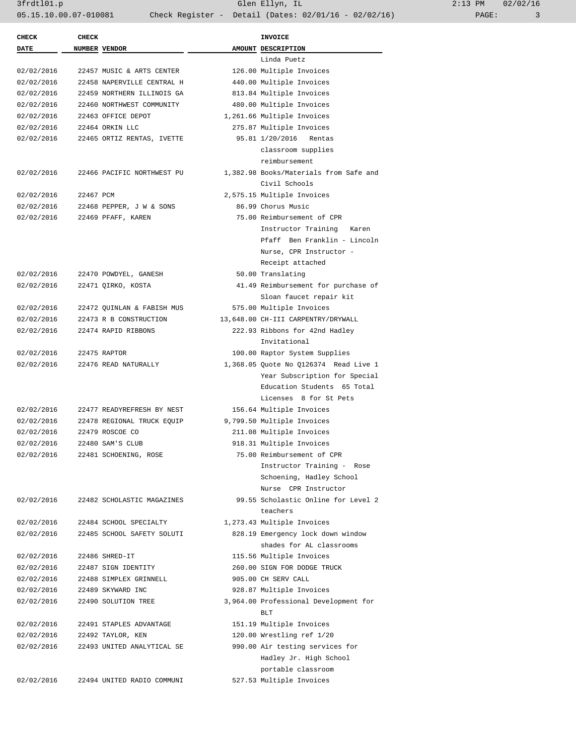3frdtl01.p Glen Ellyn, IL 2:13 PM 02/02/16 05.15.10.00.07-010081 Check Register - Detail (Dates: 02/01/16 - 02/02/16) PAGE: 3

| <b>CHECK</b> | <b>CHECK</b> |                            | INVOICE                                |
|--------------|--------------|----------------------------|----------------------------------------|
| <b>DATE</b>  |              | NUMBER VENDOR              | AMOUNT DESCRIPTION                     |
|              |              |                            | Linda Puetz                            |
| 02/02/2016   |              | 22457 MUSIC & ARTS CENTER  | 126.00 Multiple Invoices               |
| 02/02/2016   |              | 22458 NAPERVILLE CENTRAL H | 440.00 Multiple Invoices               |
| 02/02/2016   |              | 22459 NORTHERN ILLINOIS GA | 813.84 Multiple Invoices               |
| 02/02/2016   |              | 22460 NORTHWEST COMMUNITY  | 480.00 Multiple Invoices               |
| 02/02/2016   |              | 22463 OFFICE DEPOT         | 1,261.66 Multiple Invoices             |
| 02/02/2016   |              | 22464 ORKIN LLC            | 275.87 Multiple Invoices               |
| 02/02/2016   |              | 22465 ORTIZ RENTAS, IVETTE | 95.81 1/20/2016 Rentas                 |
|              |              |                            | classroom supplies                     |
|              |              |                            | reimbursement                          |
| 02/02/2016   |              | 22466 PACIFIC NORTHWEST PU | 1,382.98 Books/Materials from Safe and |
|              |              |                            | Civil Schools                          |
| 02/02/2016   | 22467 PCM    |                            | 2,575.15 Multiple Invoices             |
| 02/02/2016   |              | 22468 PEPPER, J W & SONS   | 86.99 Chorus Music                     |
| 02/02/2016   |              | 22469 PFAFF, KAREN         | 75.00 Reimbursement of CPR             |
|              |              |                            | Instructor Training Karen              |
|              |              |                            | Pfaff Ben Franklin - Lincoln           |
|              |              |                            | Nurse, CPR Instructor -                |
|              |              |                            | Receipt attached                       |
| 02/02/2016   |              | 22470 POWDYEL, GANESH      | 50.00 Translating                      |
| 02/02/2016   |              | 22471 QIRKO, KOSTA         | 41.49 Reimbursement for purchase of    |
|              |              |                            | Sloan faucet repair kit                |
| 02/02/2016   |              | 22472 QUINLAN & FABISH MUS | 575.00 Multiple Invoices               |
| 02/02/2016   |              | 22473 R B CONSTRUCTION     | 13,648.00 CH-III CARPENTRY/DRYWALL     |
| 02/02/2016   |              | 22474 RAPID RIBBONS        | 222.93 Ribbons for 42nd Hadley         |
|              |              |                            | Invitational                           |
| 02/02/2016   |              | 22475 RAPTOR               | 100.00 Raptor System Supplies          |
| 02/02/2016   |              | 22476 READ NATURALLY       | 1,368.05 Quote No Q126374 Read Live 1  |
|              |              |                            | Year Subscription for Special          |
|              |              |                            | Education Students 65 Total            |
|              |              |                            | Licenses 8 for St Pets                 |
| 02/02/2016   |              |                            | 156.64 Multiple Invoices               |
|              |              | 22477 READYREFRESH BY NEST |                                        |
| 02/02/2016   |              | 22478 REGIONAL TRUCK EQUIP | 9,799.50 Multiple Invoices             |
| 02/02/2016   |              | 22479 ROSCOE CO            | 211.08 Multiple Invoices               |
| 02/02/2016   |              | 22480 SAM'S CLUB           | 918.31 Multiple Invoices               |
| 02/02/2016   |              | 22481 SCHOENING, ROSE      | 75.00 Reimbursement of CPR             |
|              |              |                            | Instructor Training - Rose             |
|              |              |                            | Schoening, Hadley School               |
|              |              |                            | Nurse CPR Instructor                   |
| 02/02/2016   |              | 22482 SCHOLASTIC MAGAZINES | 99.55 Scholastic Online for Level 2    |
|              |              |                            | teachers                               |
| 02/02/2016   |              | 22484 SCHOOL SPECIALTY     | 1,273.43 Multiple Invoices             |
| 02/02/2016   |              | 22485 SCHOOL SAFETY SOLUTI | 828.19 Emergency lock down window      |
|              |              |                            | shades for AL classrooms               |
| 02/02/2016   |              | 22486 SHRED-IT             | 115.56 Multiple Invoices               |
| 02/02/2016   |              | 22487 SIGN IDENTITY        | 260.00 SIGN FOR DODGE TRUCK            |
| 02/02/2016   |              | 22488 SIMPLEX GRINNELL     | 905.00 CH SERV CALL                    |
| 02/02/2016   |              | 22489 SKYWARD INC          | 928.87 Multiple Invoices               |
| 02/02/2016   |              | 22490 SOLUTION TREE        | 3,964.00 Professional Development for  |
|              |              |                            | BLT                                    |
| 02/02/2016   |              | 22491 STAPLES ADVANTAGE    | 151.19 Multiple Invoices               |
| 02/02/2016   |              | 22492 TAYLOR, KEN          | 120.00 Wrestling ref 1/20              |
| 02/02/2016   |              | 22493 UNITED ANALYTICAL SE | 990.00 Air testing services for        |
|              |              |                            | Hadley Jr. High School                 |
|              |              |                            | portable classroom                     |
| 02/02/2016   |              | 22494 UNITED RADIO COMMUNI | 527.53 Multiple Invoices               |
|              |              |                            |                                        |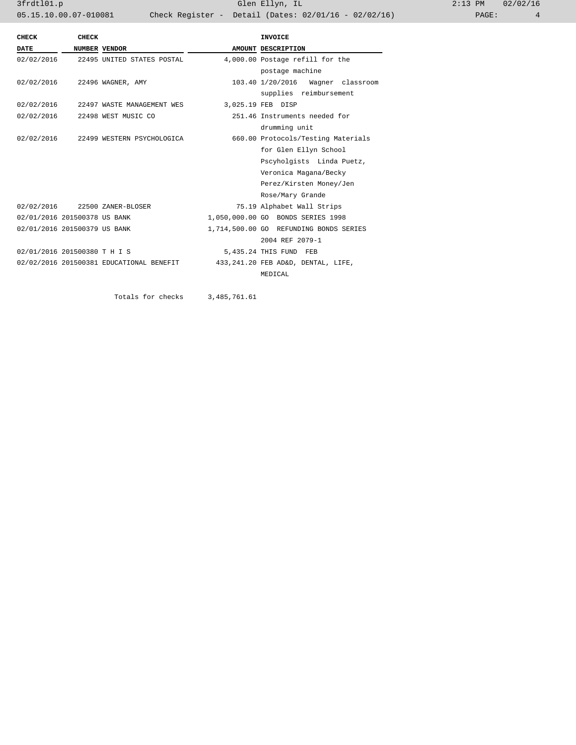3frdtl01.p Glen Ellyn, IL 2:13 PM 02/02/16 05.15.10.00.07-010081 Check Register - Detail (Dates: 02/01/16 - 02/02/16) PAGE: 4

| CHECK                        | <b>CHECK</b> |                                          | <b>INVOICE</b>                         |  |
|------------------------------|--------------|------------------------------------------|----------------------------------------|--|
| <b>DATE</b>                  |              | NUMBER VENDOR                            | AMOUNT DESCRIPTION                     |  |
|                              |              | 02/02/2016 22495 UNITED STATES POSTAL    | 4,000.00 Postage refill for the        |  |
|                              |              |                                          | postage machine                        |  |
|                              |              | 02/02/2016 22496 WAGNER, AMY             | 103.40 1/20/2016 Wagner classroom      |  |
|                              |              |                                          | supplies reimbursement                 |  |
|                              |              | 02/02/2016 22497 WASTE MANAGEMENT WES    | 3,025.19 FEB DISP                      |  |
|                              |              | 02/02/2016 22498 WEST MUSIC CO           | 251.46 Instruments needed for          |  |
|                              |              |                                          | drumming unit                          |  |
|                              |              | 02/02/2016 22499 WESTERN PSYCHOLOGICA    | 660.00 Protocols/Testing Materials     |  |
|                              |              |                                          | for Glen Ellyn School                  |  |
|                              |              |                                          | Pscyholgists Linda Puetz,              |  |
|                              |              |                                          | Veronica Magana/Becky                  |  |
|                              |              |                                          | Perez/Kirsten Money/Jen                |  |
|                              |              |                                          | Rose/Mary Grande                       |  |
|                              |              | 02/02/2016 22500 ZANER-BLOSER            | 75.19 Alphabet Wall Strips             |  |
| 02/01/2016 201500378 US BANK |              |                                          | 1,050,000.00 GO BONDS SERIES 1998      |  |
| 02/01/2016 201500379 US BANK |              |                                          | 1,714,500.00 GO REFUNDING BONDS SERIES |  |
|                              |              |                                          | 2004 REF 2079-1                        |  |
| 02/01/2016 201500380 T H I S |              |                                          | 5,435.24 THIS FUND FEB                 |  |
|                              |              | 02/02/2016 201500381 EDUCATIONAL BENEFIT | 433, 241.20 FEB AD&D, DENTAL, LIFE,    |  |
|                              |              |                                          | MEDICAL                                |  |

Totals for checks 3,485,761.61